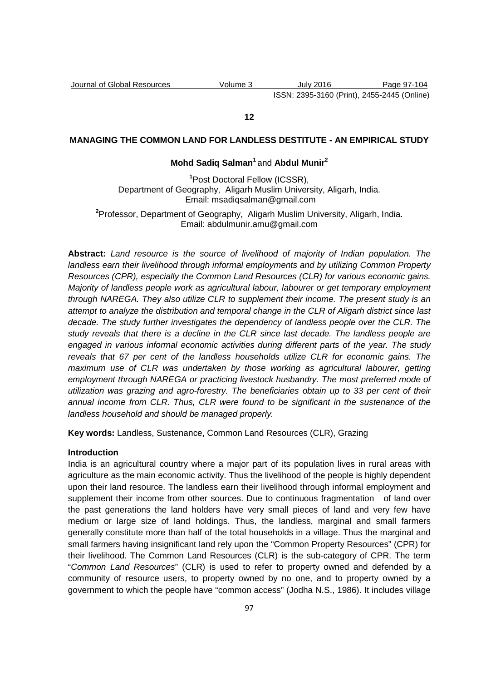Journal of Global Resources Volume 3 July 2016 Page 97-104 ISSN: 2395-3160 (Print), 2455-2445 (Online)

## **12**

# **MANAGING THE COMMON LAND FOR LANDLESS DESTITUTE - AN EMPIRICAL STUDY**

## **Mohd Sadiq Salman<sup>1</sup>**and **Abdul Munir<sup>2</sup>**

**<sup>1</sup>**Post Doctoral Fellow (ICSSR), Department of Geography, Aligarh Muslim University, Aligarh, India. Email: msadiqsalman@gmail.com

**<sup>2</sup>**Professor, Department of Geography, Aligarh Muslim University, Aligarh, India. Email: abdulmunir.amu@gmail.com

**Abstract:** Land resource is the source of livelihood of majority of Indian population. The landless earn their livelihood through informal employments and by utilizing Common Property Resources (CPR), especially the Common Land Resources (CLR) for various economic gains. Majority of landless people work as agricultural labour, labourer or get temporary employment through NAREGA. They also utilize CLR to supplement their income. The present study is an attempt to analyze the distribution and temporal change in the CLR of Aligarh district since last decade. The study further investigates the dependency of landless people over the CLR. The study reveals that there is a decline in the CLR since last decade. The landless people are engaged in various informal economic activities during different parts of the year. The study reveals that 67 per cent of the landless households utilize CLR for economic gains. The maximum use of CLR was undertaken by those working as agricultural labourer, getting employment through NAREGA or practicing livestock husbandry. The most preferred mode of utilization was grazing and agro-forestry. The beneficiaries obtain up to 33 per cent of their annual income from CLR. Thus, CLR were found to be significant in the sustenance of the landless household and should be managed properly.

**Key words:** Landless, Sustenance, Common Land Resources (CLR), Grazing

#### **Introduction**

India is an agricultural country where a major part of its population lives in rural areas with agriculture as the main economic activity. Thus the livelihood of the people is highly dependent upon their land resource. The landless earn their livelihood through informal employment and supplement their income from other sources. Due to continuous fragmentation of land over the past generations the land holders have very small pieces of land and very few have medium or large size of land holdings. Thus, the landless, marginal and small farmers generally constitute more than half of the total households in a village. Thus the marginal and small farmers having insignificant land rely upon the "Common Property Resources" (CPR) for their livelihood. The Common Land Resources (CLR) is the sub-category of CPR. The term "Common Land Resources" (CLR) is used to refer to property owned and defended by a community of resource users, to property owned by no one, and to property owned by a government to which the people have "common access" (Jodha N.S., 1986). It includes village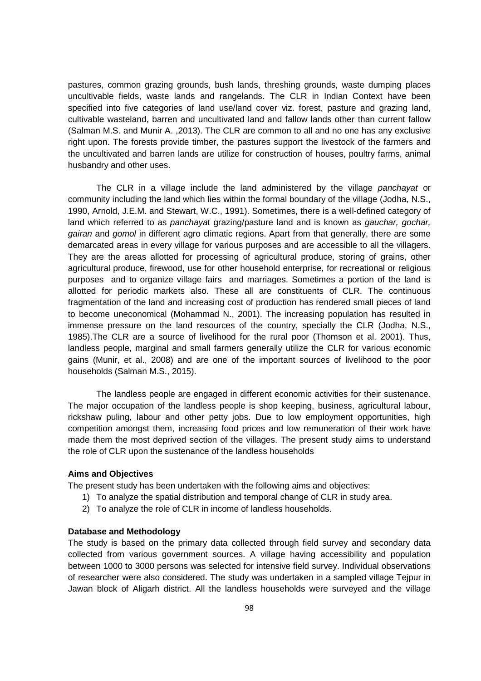pastures, common grazing grounds, bush lands, threshing grounds, waste dumping places uncultivable fields, waste lands and rangelands. The CLR in Indian Context have been specified into five categories of land use/land cover viz. forest, pasture and grazing land, cultivable wasteland, barren and uncultivated land and fallow lands other than current fallow (Salman M.S. and Munir A. ,2013). The CLR are common to all and no one has any exclusive right upon. The forests provide timber, the pastures support the livestock of the farmers and the uncultivated and barren lands are utilize for construction of houses, poultry farms, animal husbandry and other uses.

The CLR in a village include the land administered by the village *panchayat* or community including the land which lies within the formal boundary of the village (Jodha, N.S., 1990, Arnold, J.E.M. and Stewart, W.C., 1991). Sometimes, there is a well-defined category of land which referred to as panchayat grazing/pasture land and is known as gauchar, gochar, gairan and gomol in different agro climatic regions. Apart from that generally, there are some demarcated areas in every village for various purposes and are accessible to all the villagers. They are the areas allotted for processing of agricultural produce, storing of grains, other agricultural produce, firewood, use for other household enterprise, for recreational or religious purposes and to organize village fairs and marriages. Sometimes a portion of the land is allotted for periodic markets also. These all are constituents of CLR. The continuous fragmentation of the land and increasing cost of production has rendered small pieces of land to become uneconomical (Mohammad N., 2001). The increasing population has resulted in immense pressure on the land resources of the country, specially the CLR (Jodha, N.S., 1985).The CLR are a source of livelihood for the rural poor (Thomson et al. 2001). Thus, landless people, marginal and small farmers generally utilize the CLR for various economic gains (Munir, et al., 2008) and are one of the important sources of livelihood to the poor households (Salman M.S., 2015).

 The landless people are engaged in different economic activities for their sustenance. The major occupation of the landless people is shop keeping, business, agricultural labour, rickshaw puling, labour and other petty jobs. Due to low employment opportunities, high competition amongst them, increasing food prices and low remuneration of their work have made them the most deprived section of the villages. The present study aims to understand the role of CLR upon the sustenance of the landless households

#### **Aims and Objectives**

The present study has been undertaken with the following aims and objectives:

- 1) To analyze the spatial distribution and temporal change of CLR in study area.
- 2) To analyze the role of CLR in income of landless households.

#### **Database and Methodology**

The study is based on the primary data collected through field survey and secondary data collected from various government sources. A village having accessibility and population between 1000 to 3000 persons was selected for intensive field survey. Individual observations of researcher were also considered. The study was undertaken in a sampled village Tejpur in Jawan block of Aligarh district. All the landless households were surveyed and the village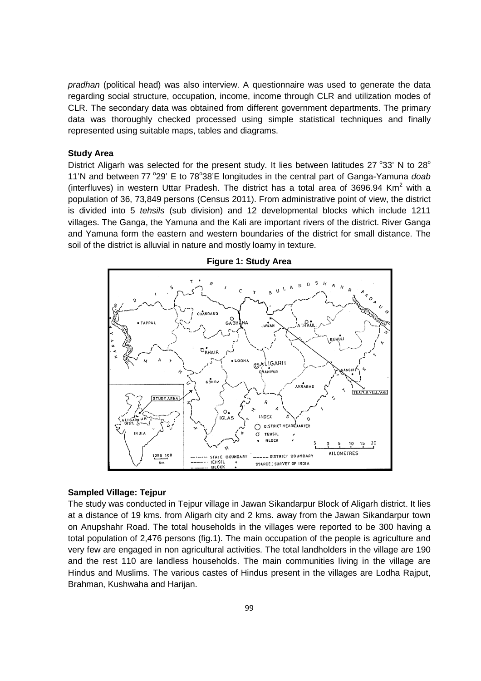pradhan (political head) was also interview. A questionnaire was used to generate the data regarding social structure, occupation, income, income through CLR and utilization modes of CLR. The secondary data was obtained from different government departments. The primary data was thoroughly checked processed using simple statistical techniques and finally represented using suitable maps, tables and diagrams.

#### **Study Area**

District Aligarh was selected for the present study. It lies between latitudes 27 $\degree$ 33' N to 28 $\degree$ 11'N and between 77 °29' E to 78°38'E longitudes in the central part of Ganga-Yamuna doab (interfluves) in western Uttar Pradesh. The district has a total area of 3696.94 Km<sup>2</sup> with a population of 36, 73,849 persons (Census 2011). From administrative point of view, the district is divided into 5 tehsils (sub division) and 12 developmental blocks which include 1211 villages. The Ganga, the Yamuna and the Kali are important rivers of the district. River Ganga and Yamuna form the eastern and western boundaries of the district for small distance. The soil of the district is alluvial in nature and mostly loamy in texture.



## **Figure 1: Study Area**

#### **Sampled Village: Tejpur**

The study was conducted in Tejpur village in Jawan Sikandarpur Block of Aligarh district. It lies at a distance of 19 kms. from Aligarh city and 2 kms. away from the Jawan Sikandarpur town on Anupshahr Road. The total households in the villages were reported to be 300 having a total population of 2,476 persons (fig.1). The main occupation of the people is agriculture and very few are engaged in non agricultural activities. The total landholders in the village are 190 and the rest 110 are landless households. The main communities living in the village are Hindus and Muslims. The various castes of Hindus present in the villages are Lodha Rajput, Brahman, Kushwaha and Harijan.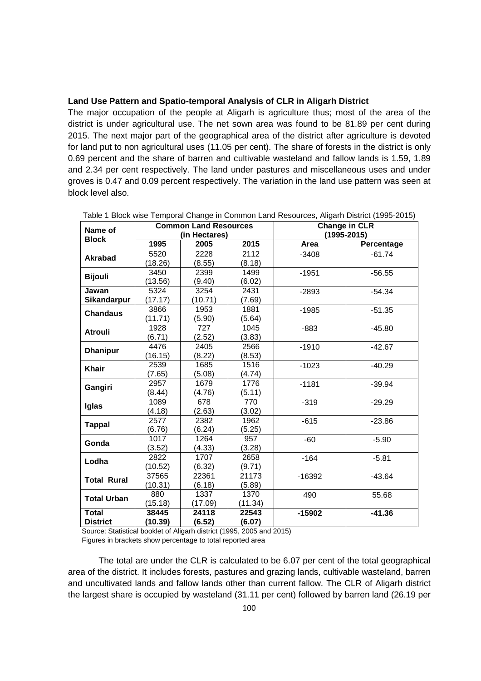## **Land Use Pattern and Spatio-temporal Analysis of CLR in Aligarh District**

The major occupation of the people at Aligarh is agriculture thus; most of the area of the district is under agricultural use. The net sown area was found to be 81.89 per cent during 2015. The next major part of the geographical area of the district after agriculture is devoted for land put to non agricultural uses (11.05 per cent). The share of forests in the district is only 0.69 percent and the share of barren and cultivable wasteland and fallow lands is 1.59, 1.89 and 2.34 per cent respectively. The land under pastures and miscellaneous uses and under groves is 0.47 and 0.09 percent respectively. The variation in the land use pattern was seen at block level also.

| Name of            | <b>Common Land Resources</b><br>(in Hectares) |         |         | <b>Change in CLR</b><br>$(1995 - 2015)$ |            |  |
|--------------------|-----------------------------------------------|---------|---------|-----------------------------------------|------------|--|
| <b>Block</b>       | 1995                                          | 2005    | 2015    | Area                                    | Percentage |  |
| <b>Akrabad</b>     | 5520                                          | 2228    | 2112    | $-3408$                                 | $-61.74$   |  |
|                    | (18.26)                                       | (8.55)  | (8.18)  |                                         |            |  |
| <b>Bijouli</b>     | 3450                                          | 2399    | 1499    | $-1951$                                 | $-56.55$   |  |
|                    | (13.56)                                       | (9.40)  | (6.02)  |                                         |            |  |
| Jawan              | 5324                                          | 3254    | 2431    | $-2893$                                 | $-54.34$   |  |
| Sikandarpur        | (17.17)                                       | (10.71) | (7.69)  |                                         |            |  |
| <b>Chandaus</b>    | 3866                                          | 1953    | 1881    | $-1985$                                 | $-51.35$   |  |
|                    | (11.71)                                       | (5.90)  | (5.64)  |                                         |            |  |
| <b>Atrouli</b>     | 1928                                          | 727     | 1045    | $-883$                                  | $-45.80$   |  |
|                    | (6.71)                                        | (2.52)  | (3.83)  |                                         |            |  |
| <b>Dhanipur</b>    | 4476                                          | 2405    | 2566    | $-1910$                                 | $-42.67$   |  |
|                    | (16.15)                                       | (8.22)  | (8.53)  |                                         |            |  |
| <b>Khair</b>       | 2539                                          | 1685    | 1516    | $-1023$                                 | $-40.29$   |  |
|                    | (7.65)                                        | (5.08)  | (4.74)  |                                         |            |  |
| Gangiri            | 2957                                          | 1679    | 1776    | $-1181$                                 | $-39.94$   |  |
|                    | (8.44)                                        | (4.76)  | (5.11)  |                                         |            |  |
| Iglas              | 1089                                          | 678     | 770     | $-319$                                  | $-29.29$   |  |
|                    | (4.18)                                        | (2.63)  | (3.02)  |                                         |            |  |
|                    | 2577                                          | 2382    | 1962    | $-615$                                  | $-23.86$   |  |
| <b>Tappal</b>      | (6.76)                                        | (6.24)  | (5.25)  |                                         |            |  |
| Gonda              | 1017                                          | 1264    | 957     | $-60$                                   | $-5.90$    |  |
|                    | (3.52)                                        | (4.33)  | (3.28)  |                                         |            |  |
| Lodha              | 2822                                          | 1707    | 2658    | $-164$                                  | $-5.81$    |  |
|                    | (10.52)                                       | (6.32)  | (9.71)  |                                         |            |  |
| <b>Total Rural</b> | 37565                                         | 22361   | 21173   | $-16392$                                | $-43.64$   |  |
|                    | (10.31)                                       | (6.18)  | (5.89)  |                                         |            |  |
|                    | 880                                           | 1337    | 1370    | 490                                     | 55.68      |  |
| <b>Total Urban</b> | (15.18)                                       | (17.09) | (11.34) |                                         |            |  |
| <b>Total</b>       | 38445                                         | 24118   | 22543   | $-15902$                                | $-41.36$   |  |
| <b>District</b>    | (10.39)                                       | (6.52)  | (6.07)  |                                         |            |  |

|  |  | Table 1 Block wise Temporal Change in Common Land Resources, Aligarh District (1995-2015) |  |  |
|--|--|-------------------------------------------------------------------------------------------|--|--|
|--|--|-------------------------------------------------------------------------------------------|--|--|

 Source: Statistical booklet of Aligarh district (1995, 2005 and 2015) Figures in brackets show percentage to total reported area

 The total are under the CLR is calculated to be 6.07 per cent of the total geographical area of the district. It includes forests, pastures and grazing lands, cultivable wasteland, barren and uncultivated lands and fallow lands other than current fallow. The CLR of Aligarh district the largest share is occupied by wasteland (31.11 per cent) followed by barren land (26.19 per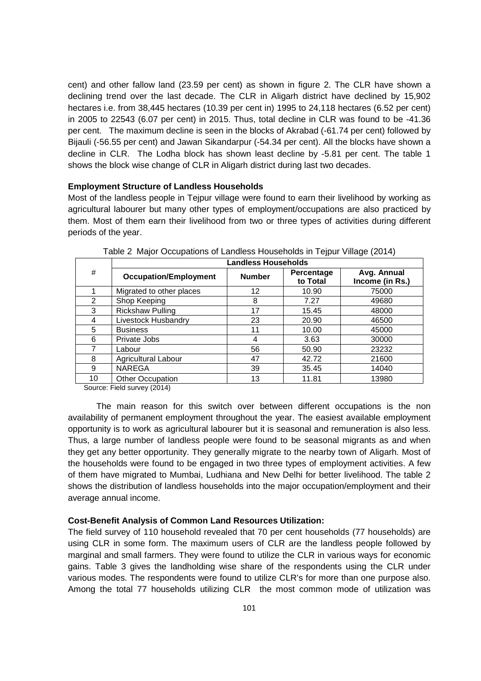cent) and other fallow land (23.59 per cent) as shown in figure 2. The CLR have shown a declining trend over the last decade. The CLR in Aligarh district have declined by 15,902 hectares i.e. from 38,445 hectares (10.39 per cent in) 1995 to 24,118 hectares (6.52 per cent) in 2005 to 22543 (6.07 per cent) in 2015. Thus, total decline in CLR was found to be -41.36 per cent. The maximum decline is seen in the blocks of Akrabad (-61.74 per cent) followed by Bijauli (-56.55 per cent) and Jawan Sikandarpur (-54.34 per cent). All the blocks have shown a decline in CLR. The Lodha block has shown least decline by -5.81 per cent. The table 1 shows the block wise change of CLR in Aligarh district during last two decades.

#### **Employment Structure of Landless Households**

Most of the landless people in Tejpur village were found to earn their livelihood by working as agricultural labourer but many other types of employment/occupations are also practiced by them. Most of them earn their livelihood from two or three types of activities during different periods of the year.

|                | <b>Landless Households</b>   |               |                               |                                |  |  |
|----------------|------------------------------|---------------|-------------------------------|--------------------------------|--|--|
| #              | <b>Occupation/Employment</b> | <b>Number</b> | <b>Percentage</b><br>to Total | Avg. Annual<br>Income (in Rs.) |  |  |
|                | Migrated to other places     | 12            | 10.90                         | 75000                          |  |  |
| $\overline{2}$ | Shop Keeping                 | 8             | 7.27                          | 49680                          |  |  |
| 3              | <b>Rickshaw Pulling</b>      | 17            | 15.45                         | 48000                          |  |  |
| 4              | Livestock Husbandry          | 23            | 20.90                         | 46500                          |  |  |
| 5              | <b>Business</b>              | 11            | 10.00                         | 45000                          |  |  |
| 6              | Private Jobs                 | 4             | 3.63                          | 30000                          |  |  |
|                | Labour                       | 56            | 50.90                         | 23232                          |  |  |
| 8              | Agricultural Labour          | 47            | 42.72                         | 21600                          |  |  |
| 9              | <b>NAREGA</b>                | 39            | 35.45                         | 14040                          |  |  |
| 10             | Other Occupation             | 13            | 11.81                         | 13980                          |  |  |

Table 2 Major Occupations of Landless Households in Tejpur Village (2014)

Source: Field survey (2014)

The main reason for this switch over between different occupations is the non availability of permanent employment throughout the year. The easiest available employment opportunity is to work as agricultural labourer but it is seasonal and remuneration is also less. Thus, a large number of landless people were found to be seasonal migrants as and when they get any better opportunity. They generally migrate to the nearby town of Aligarh. Most of the households were found to be engaged in two three types of employment activities. A few of them have migrated to Mumbai, Ludhiana and New Delhi for better livelihood. The table 2 shows the distribution of landless households into the major occupation/employment and their average annual income.

## **Cost-Benefit Analysis of Common Land Resources Utilization:**

The field survey of 110 household revealed that 70 per cent households (77 households) are using CLR in some form. The maximum users of CLR are the landless people followed by marginal and small farmers. They were found to utilize the CLR in various ways for economic gains. Table 3 gives the landholding wise share of the respondents using the CLR under various modes. The respondents were found to utilize CLR's for more than one purpose also. Among the total 77 households utilizing CLR the most common mode of utilization was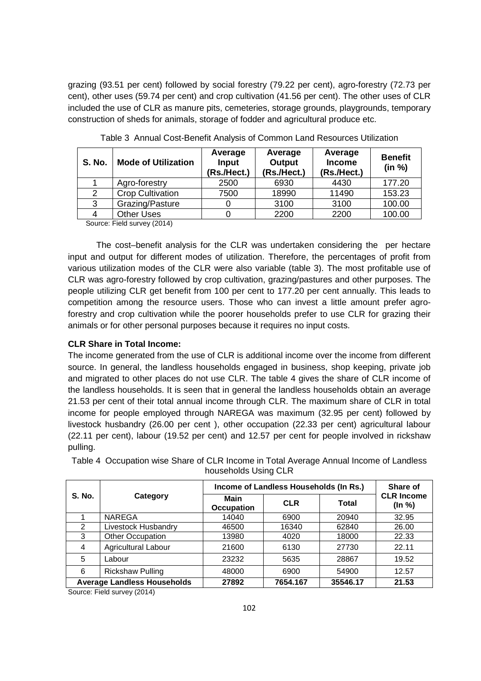grazing (93.51 per cent) followed by social forestry (79.22 per cent), agro-forestry (72.73 per cent), other uses (59.74 per cent) and crop cultivation (41.56 per cent). The other uses of CLR included the use of CLR as manure pits, cemeteries, storage grounds, playgrounds, temporary construction of sheds for animals, storage of fodder and agricultural produce etc.

| <b>S. No.</b> | <b>Mode of Utilization</b> | Average<br>Input<br>(Rs./Hect.) | Average<br>Output<br>(Rs./Hect.) | Average<br><b>Income</b><br>(Rs./Hect.) | <b>Benefit</b><br>(in %) |
|---------------|----------------------------|---------------------------------|----------------------------------|-----------------------------------------|--------------------------|
|               | Agro-forestry              | 2500                            | 6930                             | 4430                                    | 177.20                   |
|               | <b>Crop Cultivation</b>    | 7500                            | 18990                            | 11490                                   | 153.23                   |
| 3             | Grazing/Pasture            |                                 | 3100                             | 3100                                    | 100.00                   |
| 4             | <b>Other Uses</b>          |                                 | 2200                             | 2200                                    | 100.00                   |

Table 3 Annual Cost-Benefit Analysis of Common Land Resources Utilization

Source: Field survey (2014)

The cost–benefit analysis for the CLR was undertaken considering the per hectare input and output for different modes of utilization. Therefore, the percentages of profit from various utilization modes of the CLR were also variable (table 3). The most profitable use of CLR was agro-forestry followed by crop cultivation, grazing/pastures and other purposes. The people utilizing CLR get benefit from 100 per cent to 177.20 per cent annually. This leads to competition among the resource users. Those who can invest a little amount prefer agroforestry and crop cultivation while the poorer households prefer to use CLR for grazing their animals or for other personal purposes because it requires no input costs.

## **CLR Share in Total Income:**

The income generated from the use of CLR is additional income over the income from different source. In general, the landless households engaged in business, shop keeping, private job and migrated to other places do not use CLR. The table 4 gives the share of CLR income of the landless households. It is seen that in general the landless households obtain an average 21.53 per cent of their total annual income through CLR. The maximum share of CLR in total income for people employed through NAREGA was maximum (32.95 per cent) followed by livestock husbandry (26.00 per cent ), other occupation (22.33 per cent) agricultural labour (22.11 per cent), labour (19.52 per cent) and 12.57 per cent for people involved in rickshaw pulling.

| <b>S. No.</b>                      |                         | Income of Landless Households (In Rs.) | Share of   |              |                             |
|------------------------------------|-------------------------|----------------------------------------|------------|--------------|-----------------------------|
|                                    | Category                | Main<br>Occupation                     | <b>CLR</b> | <b>Total</b> | <b>CLR Income</b><br>(ln %) |
|                                    | <b>NAREGA</b>           | 14040                                  | 6900       | 20940        | 32.95                       |
| 2                                  | Livestock Husbandry     | 46500                                  | 16340      | 62840        | 26.00                       |
| 3                                  | <b>Other Occupation</b> | 13980                                  | 4020       | 18000        | 22.33                       |
| 4                                  | Agricultural Labour     | 21600                                  | 6130       | 27730        | 22.11                       |
| 5                                  | Labour                  | 23232                                  | 5635       | 28867        | 19.52                       |
| 6                                  | <b>Rickshaw Pulling</b> | 48000                                  | 6900       | 54900        | 12.57                       |
| <b>Average Landless Households</b> |                         | 27892                                  | 7654.167   | 35546.17     | 21.53                       |

Table 4 Occupation wise Share of CLR Income in Total Average Annual Income of Landless households Using CLR

Source: Field survey (2014)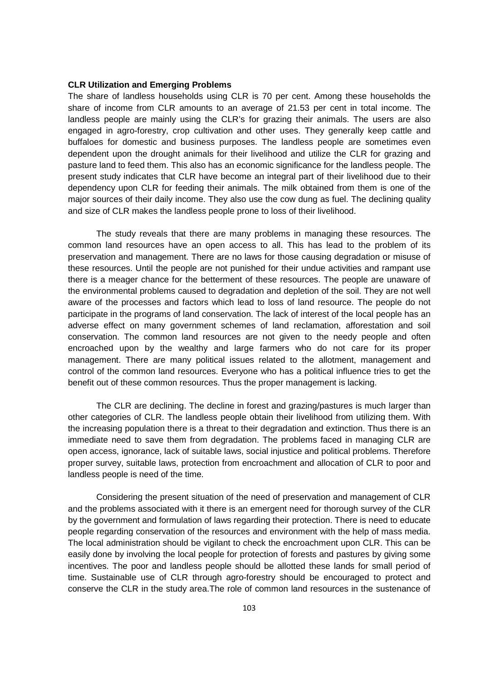## **CLR Utilization and Emerging Problems**

The share of landless households using CLR is 70 per cent. Among these households the share of income from CLR amounts to an average of 21.53 per cent in total income. The landless people are mainly using the CLR's for grazing their animals. The users are also engaged in agro-forestry, crop cultivation and other uses. They generally keep cattle and buffaloes for domestic and business purposes. The landless people are sometimes even dependent upon the drought animals for their livelihood and utilize the CLR for grazing and pasture land to feed them. This also has an economic significance for the landless people. The present study indicates that CLR have become an integral part of their livelihood due to their dependency upon CLR for feeding their animals. The milk obtained from them is one of the major sources of their daily income. They also use the cow dung as fuel. The declining quality and size of CLR makes the landless people prone to loss of their livelihood.

The study reveals that there are many problems in managing these resources. The common land resources have an open access to all. This has lead to the problem of its preservation and management. There are no laws for those causing degradation or misuse of these resources. Until the people are not punished for their undue activities and rampant use there is a meager chance for the betterment of these resources. The people are unaware of the environmental problems caused to degradation and depletion of the soil. They are not well aware of the processes and factors which lead to loss of land resource. The people do not participate in the programs of land conservation. The lack of interest of the local people has an adverse effect on many government schemes of land reclamation, afforestation and soil conservation. The common land resources are not given to the needy people and often encroached upon by the wealthy and large farmers who do not care for its proper management. There are many political issues related to the allotment, management and control of the common land resources. Everyone who has a political influence tries to get the benefit out of these common resources. Thus the proper management is lacking.

The CLR are declining. The decline in forest and grazing/pastures is much larger than other categories of CLR. The landless people obtain their livelihood from utilizing them. With the increasing population there is a threat to their degradation and extinction. Thus there is an immediate need to save them from degradation. The problems faced in managing CLR are open access, ignorance, lack of suitable laws, social injustice and political problems. Therefore proper survey, suitable laws, protection from encroachment and allocation of CLR to poor and landless people is need of the time.

Considering the present situation of the need of preservation and management of CLR and the problems associated with it there is an emergent need for thorough survey of the CLR by the government and formulation of laws regarding their protection. There is need to educate people regarding conservation of the resources and environment with the help of mass media. The local administration should be vigilant to check the encroachment upon CLR. This can be easily done by involving the local people for protection of forests and pastures by giving some incentives. The poor and landless people should be allotted these lands for small period of time. Sustainable use of CLR through agro-forestry should be encouraged to protect and conserve the CLR in the study area.The role of common land resources in the sustenance of